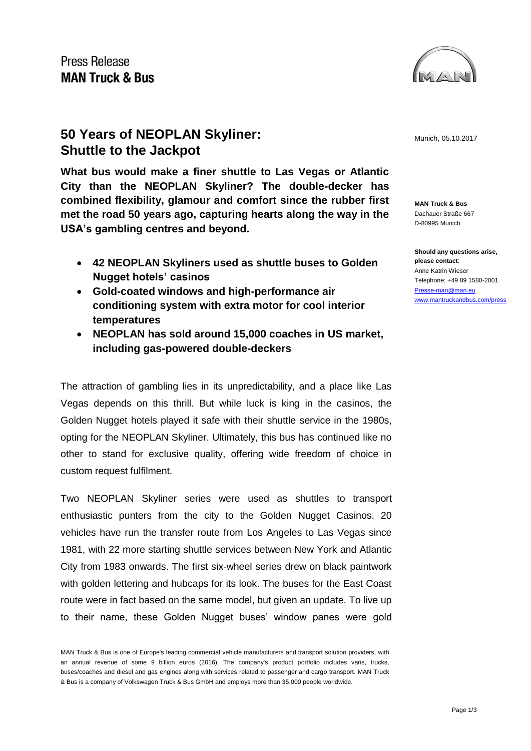

## **50 Years of NEOPLAN Skyliner: Munich, 05.10.2017** Munich, 05.10.2017 **Shuttle to the Jackpot**

**What bus would make a finer shuttle to Las Vegas or Atlantic City than the NEOPLAN Skyliner? The double-decker has combined flexibility, glamour and comfort since the rubber first met the road 50 years ago, capturing hearts along the way in the USA's gambling centres and beyond.** 

- **42 NEOPLAN Skyliners used as shuttle buses to Golden Nugget hotels' casinos**
- **Gold-coated windows and high-performance air conditioning system with extra motor for cool interior temperatures**
- **NEOPLAN has sold around 15,000 coaches in US market, including gas-powered double-deckers**

The attraction of gambling lies in its unpredictability, and a place like Las Vegas depends on this thrill. But while luck is king in the casinos, the Golden Nugget hotels played it safe with their shuttle service in the 1980s, opting for the NEOPLAN Skyliner. Ultimately, this bus has continued like no other to stand for exclusive quality, offering wide freedom of choice in custom request fulfilment.

Two NEOPLAN Skyliner series were used as shuttles to transport enthusiastic punters from the city to the Golden Nugget Casinos. 20 vehicles have run the transfer route from Los Angeles to Las Vegas since 1981, with 22 more starting shuttle services between New York and Atlantic City from 1983 onwards. The first six-wheel series drew on black paintwork with golden lettering and hubcaps for its look. The buses for the East Coast route were in fact based on the same model, but given an update. To live up to their name, these Golden Nugget buses' window panes were gold

**MAN Truck & Bus** Dachauer Straße 667 D-80995 Munich

**Should any questions arise, please contact**: Anne Katrin Wieser Telephone: +49 89 1580-2001 [Presse-man@man.eu](mailto:Presse-man@man.eu) [www.mantruckandbus.com/press](http://www.mantruckandbus.com/press)

MAN Truck & Bus is one of Europe's leading commercial vehicle manufacturers and transport solution providers, with an annual revenue of some 9 billion euros (2016). The company's product portfolio includes vans, trucks, buses/coaches and diesel and gas engines along with services related to passenger and cargo transport. MAN Truck & Bus is a company of Volkswagen Truck & Bus GmbH and employs more than 35,000 people worldwide.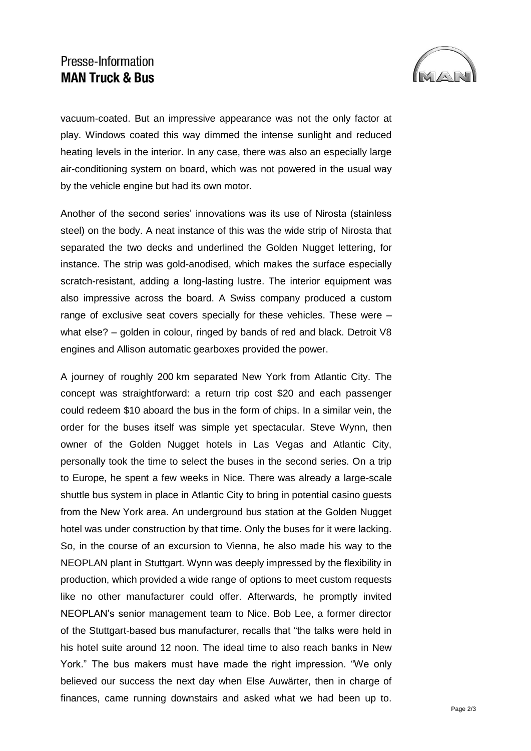## Presse-Information **MAN Truck & Bus**



vacuum-coated. But an impressive appearance was not the only factor at play. Windows coated this way dimmed the intense sunlight and reduced heating levels in the interior. In any case, there was also an especially large air-conditioning system on board, which was not powered in the usual way by the vehicle engine but had its own motor.

Another of the second series' innovations was its use of Nirosta (stainless steel) on the body. A neat instance of this was the wide strip of Nirosta that separated the two decks and underlined the Golden Nugget lettering, for instance. The strip was gold-anodised, which makes the surface especially scratch-resistant, adding a long-lasting lustre. The interior equipment was also impressive across the board. A Swiss company produced a custom range of exclusive seat covers specially for these vehicles. These were – what else? – golden in colour, ringed by bands of red and black. Detroit V8 engines and Allison automatic gearboxes provided the power.

A journey of roughly 200 km separated New York from Atlantic City. The concept was straightforward: a return trip cost \$20 and each passenger could redeem \$10 aboard the bus in the form of chips. In a similar vein, the order for the buses itself was simple yet spectacular. Steve Wynn, then owner of the Golden Nugget hotels in Las Vegas and Atlantic City, personally took the time to select the buses in the second series. On a trip to Europe, he spent a few weeks in Nice. There was already a large-scale shuttle bus system in place in Atlantic City to bring in potential casino guests from the New York area. An underground bus station at the Golden Nugget hotel was under construction by that time. Only the buses for it were lacking. So, in the course of an excursion to Vienna, he also made his way to the NEOPLAN plant in Stuttgart. Wynn was deeply impressed by the flexibility in production, which provided a wide range of options to meet custom requests like no other manufacturer could offer. Afterwards, he promptly invited NEOPLAN's senior management team to Nice. Bob Lee, a former director of the Stuttgart-based bus manufacturer, recalls that "the talks were held in his hotel suite around 12 noon. The ideal time to also reach banks in New York." The bus makers must have made the right impression. "We only believed our success the next day when Else Auwärter, then in charge of finances, came running downstairs and asked what we had been up to.